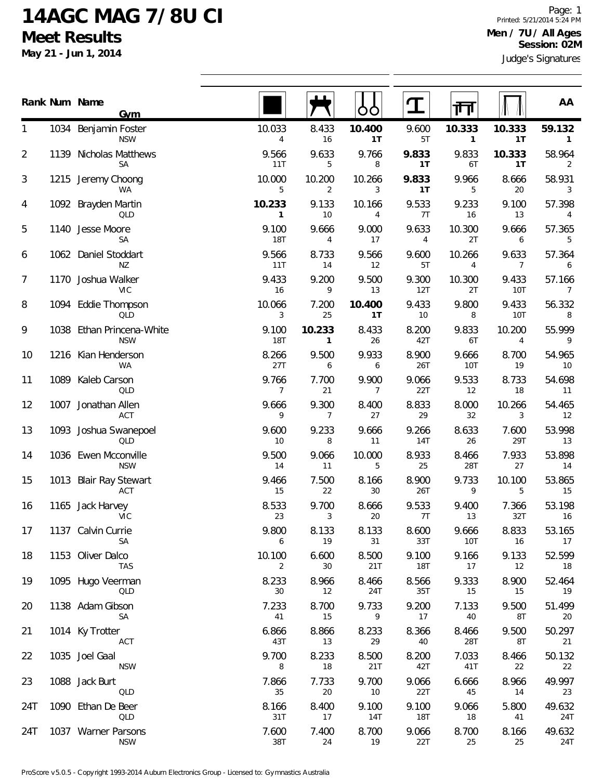## **14AGC MAG 7/8U CI Meet Results**

**May 21 - Jun 1, 2014**

|                |      | Rank Num Name<br><b>Gym</b>             |                          |                          | OO           |                     | 襾                      |                         | AA                     |
|----------------|------|-----------------------------------------|--------------------------|--------------------------|--------------|---------------------|------------------------|-------------------------|------------------------|
| 1              |      | 1034 Benjamin Foster<br><b>NSW</b>      | 10.033<br>$\overline{4}$ | 8.433<br>16              | 10.400<br>1T | 9.600<br>5T         | 10.333<br>$\mathbf{1}$ | 10.333<br>1T            | 59.132<br>$\mathbf{1}$ |
| $\overline{2}$ | 1139 | Nicholas Matthews<br>SA                 | 9.566<br>11T             | 9.633<br>5               | 9.766<br>8   | 9.833<br>1T         | 9.833<br>6T            | 10.333<br>1T            | 58.964<br>2            |
| 3              | 1215 | Jeremy Choong<br>WA                     | 10.000<br>5              | 10.200<br>$\overline{2}$ | 10.266<br>3  | 9.833<br>1T         | 9.966<br>5             | 8.666<br>20             | 58.931<br>3            |
| 4              |      | 1092 Brayden Martin<br>QLD              | 10.233<br>1              | 9.133<br>10              | 10.166<br>4  | 9.533<br>7T         | 9.233<br>16            | 9.100<br>13             | 57.398<br>4            |
| 5              |      | 1140 Jesse Moore<br>SA                  | 9.100<br><b>18T</b>      | 9.666<br>4               | 9.000<br>17  | 9.633<br>4          | 10.300<br>2T           | 9.666<br>6              | 57.365<br>5            |
| 6              |      | 1062 Daniel Stoddart<br>ΝZ              | 9.566<br>11T             | 8.733<br>14              | 9.566<br>12  | 9.600<br>5T         | 10.266<br>4            | 9.633<br>$\overline{7}$ | 57.364<br>6            |
| 7              |      | 1170 Joshua Walker<br>VIC               | 9.433<br>16              | 9.200<br>9               | 9.500<br>13  | 9.300<br>12T        | 10.300<br>2T           | 9.433<br>10T            | 57.166<br>7            |
| 8              |      | 1094 Eddie Thompson<br>QLD              | 10.066<br>3              | 7.200<br>25              | 10.400<br>1T | 9.433<br>10         | 9.800<br>8             | 9.433<br>10T            | 56.332<br>8            |
| 9              |      | 1038 Ethan Princena-White<br><b>NSW</b> | 9.100<br>18T             | 10.233<br>$\mathbf{1}$   | 8.433<br>26  | 8.200<br>42T        | 9.833<br>6T            | 10.200<br>4             | 55.999<br>9            |
| 10             |      | 1216 Kian Henderson<br>WA               | 8.266<br>27T             | 9.500<br>6               | 9.933<br>6   | 8.900<br>26T        | 9.666<br>10T           | 8.700<br>19             | 54.965<br>10           |
| 11             |      | 1089 Kaleb Carson<br>QLD                | 9.766<br>$\overline{7}$  | 7.700<br>21              | 9.900<br>7   | 9.066<br>22T        | 9.533<br>12            | 8.733<br>18             | 54.698<br>11           |
| 12             | 1007 | Jonathan Allen<br>ACT                   | 9.666<br>9               | 9.300<br>7               | 8.400<br>27  | 8.833<br>29         | 8.000<br>32            | 10.266<br>3             | 54.465<br>12           |
| 13             |      | 1093 Joshua Swanepoel<br>QLD            | 9.600<br>10              | 9.233<br>8               | 9.666<br>11  | 9.266<br>14T        | 8.633<br>26            | 7.600<br>29T            | 53.998<br>13           |
| 14             |      | 1036 Ewen Mcconville<br><b>NSW</b>      | 9.500<br>14              | 9.066<br>11              | 10.000<br>5  | 8.933<br>25         | 8.466<br>28T           | 7.933<br>27             | 53.898<br>14           |
| 15             | 1013 | <b>Blair Ray Stewart</b><br>ACT         | 9.466<br>15              | 7.500<br>22              | 8.166<br>30  | 8.900<br>26T        | 9.733<br>9             | 10.100<br>5             | 53.865<br>15           |
| 16             | 1165 | Jack Harvey<br>VIC                      | 8.533<br>23              | 9.700<br>3               | 8.666<br>20  | 9.533<br>7T         | 9.400<br>13            | 7.366<br>32T            | 53.198<br>16           |
| 17             |      | 1137 Calvin Currie<br>SA                | 9.800<br>6               | 8.133<br>19              | 8.133<br>31  | 8.600<br>33T        | 9.666<br>10T           | 8.833<br>16             | 53.165<br>17           |
| 18             |      | 1153 Oliver Dalco<br><b>TAS</b>         | 10.100<br>$\overline{2}$ | 6.600<br>30              | 8.500<br>21T | 9.100<br><b>18T</b> | 9.166<br>17            | 9.133<br>12             | 52.599<br>18           |
| 19             |      | 1095 Hugo Veerman<br>QLD                | 8.233<br>30              | 8.966<br>12              | 8.466<br>24T | 8.566<br>35T        | 9.333<br>15            | 8.900<br>15             | 52.464<br>19           |
| 20             |      | 1138 Adam Gibson<br>SA                  | 7.233<br>41              | 8.700<br>15              | 9.733<br>9   | 9.200<br>17         | 7.133<br>40            | 9.500<br>8T             | 51.499<br>20           |
| 21             |      | 1014 Ky Trotter<br>ACT                  | 6.866<br>43T             | 8.866<br>13              | 8.233<br>29  | 8.366<br>40         | 8.466<br>28T           | 9.500<br>8T             | 50.297<br>21           |
| 22             |      | 1035 Joel Gaal<br><b>NSW</b>            | 9.700<br>8               | 8.233<br>18              | 8.500<br>21T | 8.200<br>42T        | 7.033<br>41T           | 8.466<br>22             | 50.132<br>22           |
| 23             |      | 1088 Jack Burt<br>QLD                   | 7.866<br>35              | 7.733<br>20              | 9.700<br>10  | 9.066<br>22T        | 6.666<br>45            | 8.966<br>14             | 49.997<br>23           |
| 24T            |      | 1090 Ethan De Beer<br>QLD               | 8.166<br>31T             | 8.400<br>17              | 9.100<br>14T | 9.100<br>18T        | 9.066<br>18            | 5.800<br>41             | 49.632<br>24T          |
| 24T            |      | 1037 Warner Parsons<br><b>NSW</b>       | 7.600<br>38T             | 7.400<br>24              | 8.700<br>19  | 9.066<br>22T        | 8.700<br>25            | 8.166<br>25             | 49.632<br>24T          |

 $\overline{a}$